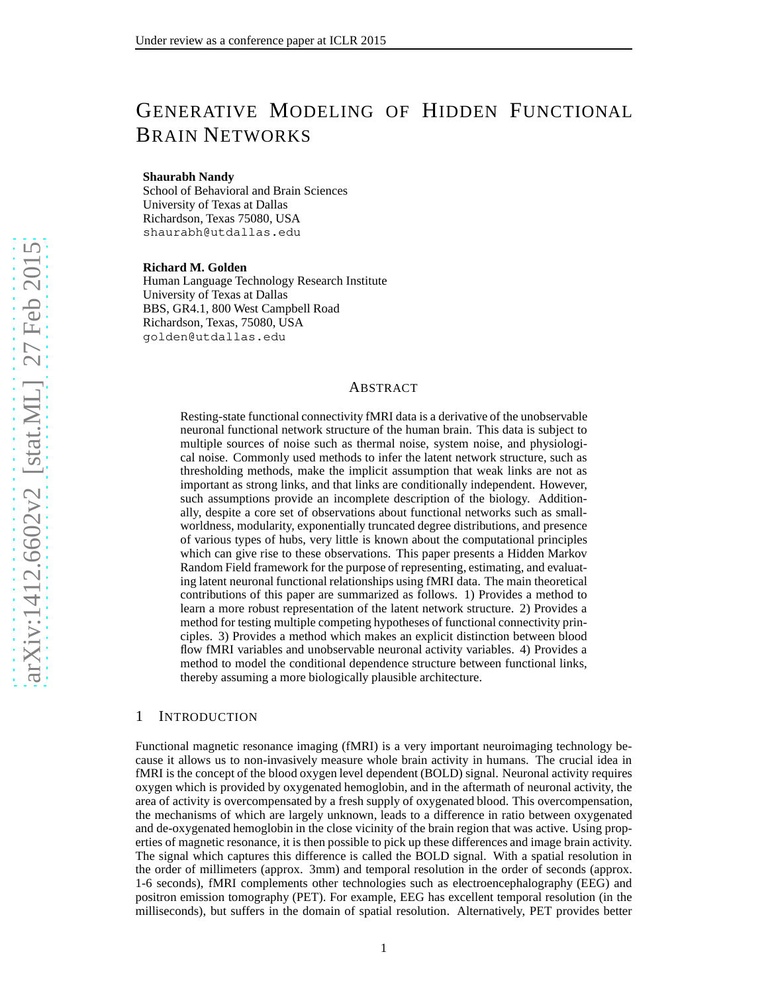# GENERATIVE MODELING OF HIDDEN FUNCTIONAL BRAIN NETWORKS

#### **Shaurabh Nandy**

School of Behavioral and Brain Sciences University of Texas at Dallas Richardson, Texas 75080, USA shaurabh@utdallas.edu

**Richard M. Golden**

Human Language Technology Research Institute University of Texas at Dallas BBS, GR4.1, 800 West Campbell Road Richardson, Texas, 75080, USA golden@utdallas.edu

## ABSTRACT

Resting-state functional connectivity fMRI data is a derivative of the unobservable neuronal functional network structure of the human brain. This data is subject to multiple sources of noise such as thermal noise, system noise, and physiological noise. Commonly used methods to infer the latent network structure, such as thresholding methods, make the implicit assumption that weak links are not as important as strong links, and that links are conditionally independent. However, such assumptions provide an incomplete description of the biology. Additionally, despite a core set of observations about functional networks such as smallworldness, modularity, exponentially truncated degree distributions, and presence of various types of hubs, very little is known about the computational principles which can give rise to these observations. This paper presents a Hidden Markov Random Field framework for the purpose of representing, estimating, and evaluating latent neuronal functional relationships using fMRI data. The main theoretical contributions of this paper are summarized as follows. 1) Provides a method to learn a more robust representation of the latent network structure. 2) Provides a method for testing multiple competing hypotheses of functional connectivity principles. 3) Provides a method which makes an explicit distinction between blood flow fMRI variables and unobservable neuronal activity variables. 4) Provides a method to model the conditional dependence structure between functional links, thereby assuming a more biologically plausible architecture.

## 1 INTRODUCTION

Functional magnetic resonance imaging (fMRI) is a very important neuroimaging technology because it allows us to non-invasively measure whole brain activity in humans. The crucial idea in fMRI is the concept of the blood oxygen level dependent (BOLD) signal. Neuronal activity requires oxygen which is provided by oxygenated hemoglobin, and in the aftermath of neuronal activity, the area of activity is overcompensated by a fresh supply of oxygenated blood. This overcompensation, the mechanisms of which are largely unknown, leads to a difference in ratio between oxygenated and de-oxygenated hemoglobin in the close vicinity of the brain region that was active. Using properties of magnetic resonance, it is then possible to pick up these differences and image brain activity. The signal which captures this difference is called the BOLD signal. With a spatial resolution in the order of millimeters (approx. 3mm) and temporal resolution in the order of seconds (approx. 1-6 seconds), fMRI complements other technologies such as electroencephalography (EEG) and positron emission tomography (PET). For example, EEG has excellent temporal resolution (in the milliseconds), but suffers in the domain of spatial resolution. Alternatively, PET provides better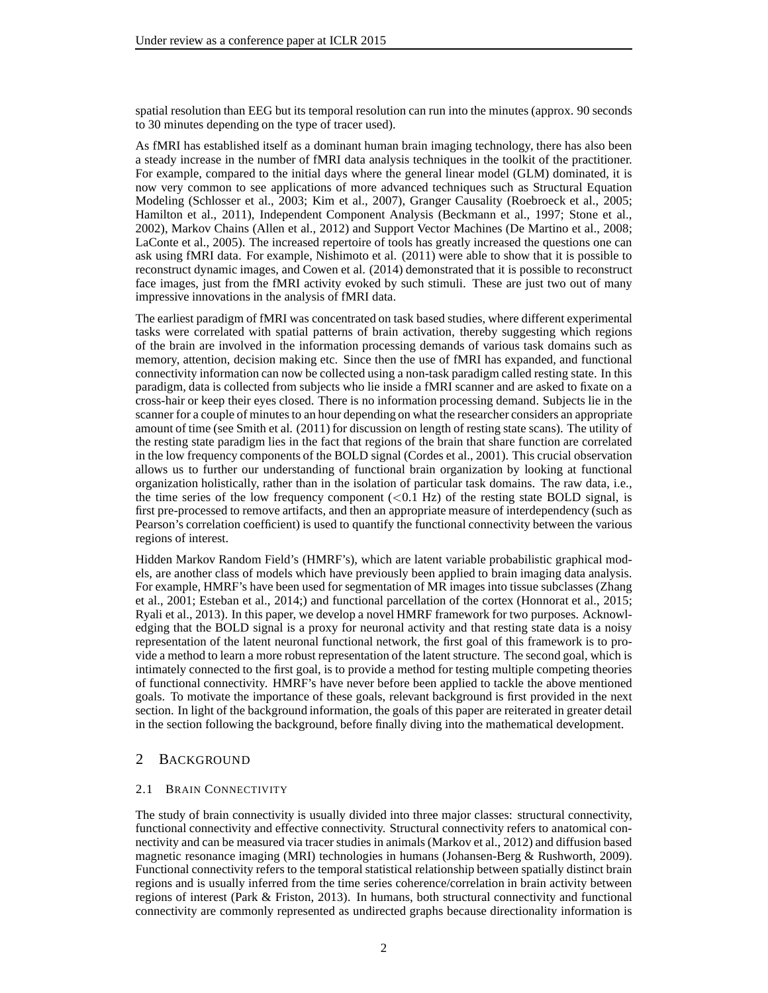spatial resolution than EEG but its temporal resolution can run into the minutes (approx. 90 seconds to 30 minutes depending on the type of tracer used).

As fMRI has established itself as a dominant human brain imaging technology, there has also been a steady increase in the number of fMRI data analysis techniques in the toolkit of the practitioner. For example, compared to the initial days where the general linear model (GLM) dominated, it is now very common to see applications of more advanced techniques such as Structural Equation Modeling (Schlosser et al., 2003; Kim et al., 2007), Granger Causality (Roebroeck et al., 2005; Hamilton et al., 2011), Independent Component Analysis (Beckmann et al., 1997; Stone et al., 2002), Markov Chains (Allen et al., 2012) and Support Vector Machines (De Martino et al., 2008; LaConte et al., 2005). The increased repertoire of tools has greatly increased the questions one can ask using fMRI data. For example, Nishimoto et al. (2011) were able to show that it is possible to reconstruct dynamic images, and Cowen et al. (2014) demonstrated that it is possible to reconstruct face images, just from the fMRI activity evoked by such stimuli. These are just two out of many impressive innovations in the analysis of fMRI data.

The earliest paradigm of fMRI was concentrated on task based studies, where different experimental tasks were correlated with spatial patterns of brain activation, thereby suggesting which regions of the brain are involved in the information processing demands of various task domains such as memory, attention, decision making etc. Since then the use of fMRI has expanded, and functional connectivity information can now be collected using a non-task paradigm called resting state. In this paradigm, data is collected from subjects who lie inside a fMRI scanner and are asked to fixate on a cross-hair or keep their eyes closed. There is no information processing demand. Subjects lie in the scanner for a couple of minutes to an hour depending on what the researcher considers an appropriate amount of time (see Smith et al. (2011) for discussion on length of resting state scans). The utility of the resting state paradigm lies in the fact that regions of the brain that share function are correlated in the low frequency components of the BOLD signal (Cordes et al., 2001). This crucial observation allows us to further our understanding of functional brain organization by looking at functional organization holistically, rather than in the isolation of particular task domains. The raw data, i.e., the time series of the low frequency component  $(<0.1$  Hz) of the resting state BOLD signal, is first pre-processed to remove artifacts, and then an appropriate measure of interdependency (such as Pearson's correlation coefficient) is used to quantify the functional connectivity between the various regions of interest.

Hidden Markov Random Field's (HMRF's), which are latent variable probabilistic graphical models, are another class of models which have previously been applied to brain imaging data analysis. For example, HMRF's have been used for segmentation of MR images into tissue subclasses (Zhang et al., 2001; Esteban et al., 2014;) and functional parcellation of the cortex (Honnorat et al., 2015; Ryali et al., 2013). In this paper, we develop a novel HMRF framework for two purposes. Acknowledging that the BOLD signal is a proxy for neuronal activity and that resting state data is a noisy representation of the latent neuronal functional network, the first goal of this framework is to provide a method to learn a more robust representation of the latent structure. The second goal, which is intimately connected to the first goal, is to provide a method for testing multiple competing theories of functional connectivity. HMRF's have never before been applied to tackle the above mentioned goals. To motivate the importance of these goals, relevant background is first provided in the next section. In light of the background information, the goals of this paper are reiterated in greater detail in the section following the background, before finally diving into the mathematical development.

## 2 BACKGROUND

## 2.1 BRAIN CONNECTIVITY

The study of brain connectivity is usually divided into three major classes: structural connectivity, functional connectivity and effective connectivity. Structural connectivity refers to anatomical connectivity and can be measured via tracer studies in animals (Markov et al., 2012) and diffusion based magnetic resonance imaging (MRI) technologies in humans (Johansen-Berg & Rushworth, 2009). Functional connectivity refers to the temporal statistical relationship between spatially distinct brain regions and is usually inferred from the time series coherence/correlation in brain activity between regions of interest (Park & Friston, 2013). In humans, both structural connectivity and functional connectivity are commonly represented as undirected graphs because directionality information is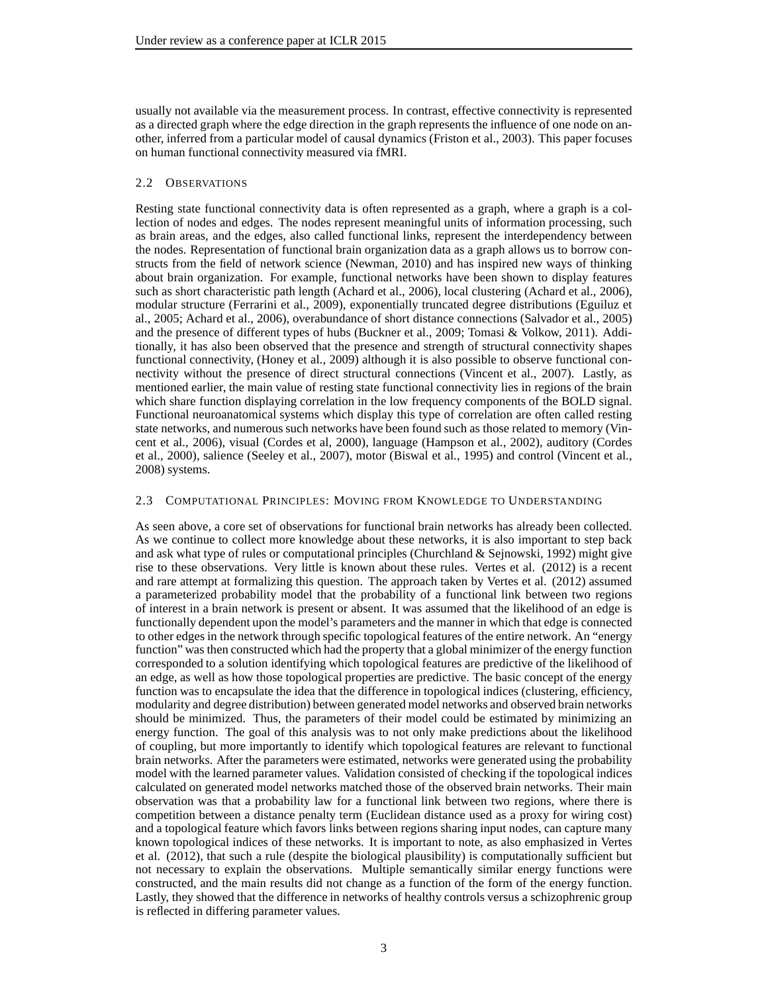usually not available via the measurement process. In contrast, effective connectivity is represented as a directed graph where the edge direction in the graph represents the influence of one node on another, inferred from a particular model of causal dynamics (Friston et al., 2003). This paper focuses on human functional connectivity measured via fMRI.

## 2.2 OBSERVATIONS

Resting state functional connectivity data is often represented as a graph, where a graph is a collection of nodes and edges. The nodes represent meaningful units of information processing, such as brain areas, and the edges, also called functional links, represent the interdependency between the nodes. Representation of functional brain organization data as a graph allows us to borrow constructs from the field of network science (Newman, 2010) and has inspired new ways of thinking about brain organization. For example, functional networks have been shown to display features such as short characteristic path length (Achard et al., 2006), local clustering (Achard et al., 2006), modular structure (Ferrarini et al., 2009), exponentially truncated degree distributions (Eguiluz et al., 2005; Achard et al., 2006), overabundance of short distance connections (Salvador et al., 2005) and the presence of different types of hubs (Buckner et al., 2009; Tomasi & Volkow, 2011). Additionally, it has also been observed that the presence and strength of structural connectivity shapes functional connectivity, (Honey et al., 2009) although it is also possible to observe functional connectivity without the presence of direct structural connections (Vincent et al., 2007). Lastly, as mentioned earlier, the main value of resting state functional connectivity lies in regions of the brain which share function displaying correlation in the low frequency components of the BOLD signal. Functional neuroanatomical systems which display this type of correlation are often called resting state networks, and numerous such networks have been found such as those related to memory (Vincent et al., 2006), visual (Cordes et al, 2000), language (Hampson et al., 2002), auditory (Cordes et al., 2000), salience (Seeley et al., 2007), motor (Biswal et al., 1995) and control (Vincent et al., 2008) systems.

## 2.3 COMPUTATIONAL PRINCIPLES: MOVING FROM KNOWLEDGE TO UNDERSTANDING

As seen above, a core set of observations for functional brain networks has already been collected. As we continue to collect more knowledge about these networks, it is also important to step back and ask what type of rules or computational principles (Churchland & Sejnowski, 1992) might give rise to these observations. Very little is known about these rules. Vertes et al. (2012) is a recent and rare attempt at formalizing this question. The approach taken by Vertes et al. (2012) assumed a parameterized probability model that the probability of a functional link between two regions of interest in a brain network is present or absent. It was assumed that the likelihood of an edge is functionally dependent upon the model's parameters and the manner in which that edge is connected to other edges in the network through specific topological features of the entire network. An "energy function" was then constructed which had the property that a global minimizer of the energy function corresponded to a solution identifying which topological features are predictive of the likelihood of an edge, as well as how those topological properties are predictive. The basic concept of the energy function was to encapsulate the idea that the difference in topological indices (clustering, efficiency, modularity and degree distribution) between generated model networks and observed brain networks should be minimized. Thus, the parameters of their model could be estimated by minimizing an energy function. The goal of this analysis was to not only make predictions about the likelihood of coupling, but more importantly to identify which topological features are relevant to functional brain networks. After the parameters were estimated, networks were generated using the probability model with the learned parameter values. Validation consisted of checking if the topological indices calculated on generated model networks matched those of the observed brain networks. Their main observation was that a probability law for a functional link between two regions, where there is competition between a distance penalty term (Euclidean distance used as a proxy for wiring cost) and a topological feature which favors links between regions sharing input nodes, can capture many known topological indices of these networks. It is important to note, as also emphasized in Vertes et al. (2012), that such a rule (despite the biological plausibility) is computationally sufficient but not necessary to explain the observations. Multiple semantically similar energy functions were constructed, and the main results did not change as a function of the form of the energy function. Lastly, they showed that the difference in networks of healthy controls versus a schizophrenic group is reflected in differing parameter values.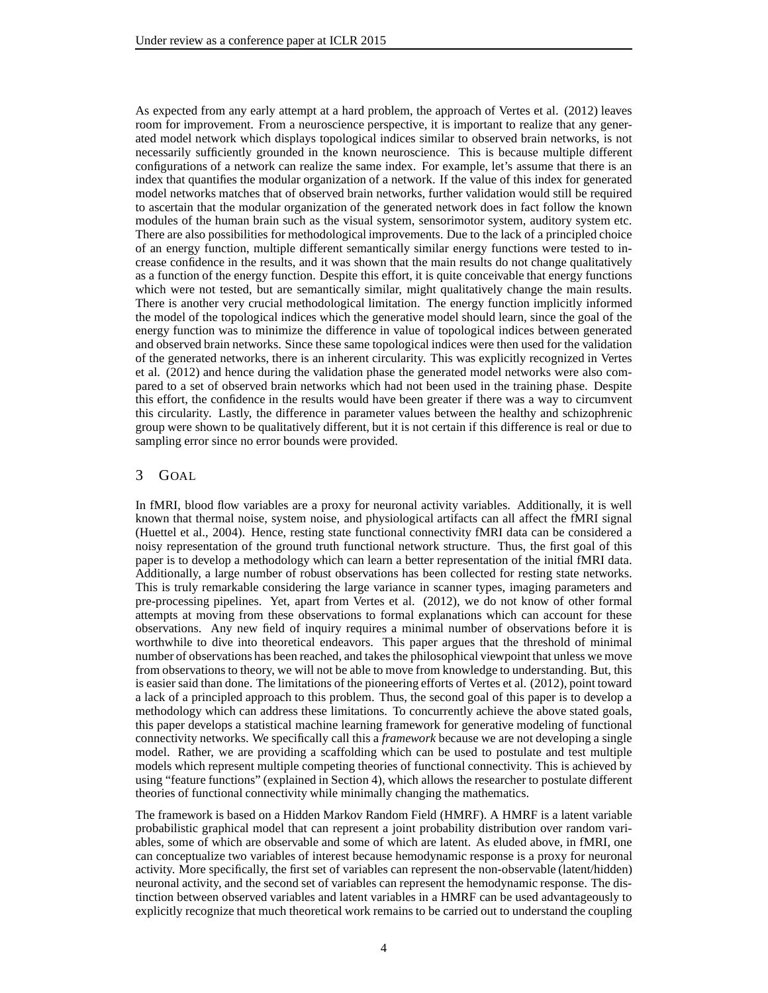As expected from any early attempt at a hard problem, the approach of Vertes et al. (2012) leaves room for improvement. From a neuroscience perspective, it is important to realize that any generated model network which displays topological indices similar to observed brain networks, is not necessarily sufficiently grounded in the known neuroscience. This is because multiple different configurations of a network can realize the same index. For example, let's assume that there is an index that quantifies the modular organization of a network. If the value of this index for generated model networks matches that of observed brain networks, further validation would still be required to ascertain that the modular organization of the generated network does in fact follow the known modules of the human brain such as the visual system, sensorimotor system, auditory system etc. There are also possibilities for methodological improvements. Due to the lack of a principled choice of an energy function, multiple different semantically similar energy functions were tested to increase confidence in the results, and it was shown that the main results do not change qualitatively as a function of the energy function. Despite this effort, it is quite conceivable that energy functions which were not tested, but are semantically similar, might qualitatively change the main results. There is another very crucial methodological limitation. The energy function implicitly informed the model of the topological indices which the generative model should learn, since the goal of the energy function was to minimize the difference in value of topological indices between generated and observed brain networks. Since these same topological indices were then used for the validation of the generated networks, there is an inherent circularity. This was explicitly recognized in Vertes et al. (2012) and hence during the validation phase the generated model networks were also compared to a set of observed brain networks which had not been used in the training phase. Despite this effort, the confidence in the results would have been greater if there was a way to circumvent this circularity. Lastly, the difference in parameter values between the healthy and schizophrenic group were shown to be qualitatively different, but it is not certain if this difference is real or due to sampling error since no error bounds were provided.

## 3 GOAL

In fMRI, blood flow variables are a proxy for neuronal activity variables. Additionally, it is well known that thermal noise, system noise, and physiological artifacts can all affect the fMRI signal (Huettel et al., 2004). Hence, resting state functional connectivity fMRI data can be considered a noisy representation of the ground truth functional network structure. Thus, the first goal of this paper is to develop a methodology which can learn a better representation of the initial fMRI data. Additionally, a large number of robust observations has been collected for resting state networks. This is truly remarkable considering the large variance in scanner types, imaging parameters and pre-processing pipelines. Yet, apart from Vertes et al. (2012), we do not know of other formal attempts at moving from these observations to formal explanations which can account for these observations. Any new field of inquiry requires a minimal number of observations before it is worthwhile to dive into theoretical endeavors. This paper argues that the threshold of minimal number of observations has been reached, and takes the philosophical viewpoint that unless we move from observations to theory, we will not be able to move from knowledge to understanding. But, this is easier said than done. The limitations of the pioneering efforts of Vertes et al. (2012), point toward a lack of a principled approach to this problem. Thus, the second goal of this paper is to develop a methodology which can address these limitations. To concurrently achieve the above stated goals, this paper develops a statistical machine learning framework for generative modeling of functional connectivity networks. We specifically call this a *framework* because we are not developing a single model. Rather, we are providing a scaffolding which can be used to postulate and test multiple models which represent multiple competing theories of functional connectivity. This is achieved by using "feature functions" (explained in Section 4), which allows the researcher to postulate different theories of functional connectivity while minimally changing the mathematics.

The framework is based on a Hidden Markov Random Field (HMRF). A HMRF is a latent variable probabilistic graphical model that can represent a joint probability distribution over random variables, some of which are observable and some of which are latent. As eluded above, in fMRI, one can conceptualize two variables of interest because hemodynamic response is a proxy for neuronal activity. More specifically, the first set of variables can represent the non-observable (latent/hidden) neuronal activity, and the second set of variables can represent the hemodynamic response. The distinction between observed variables and latent variables in a HMRF can be used advantageously to explicitly recognize that much theoretical work remains to be carried out to understand the coupling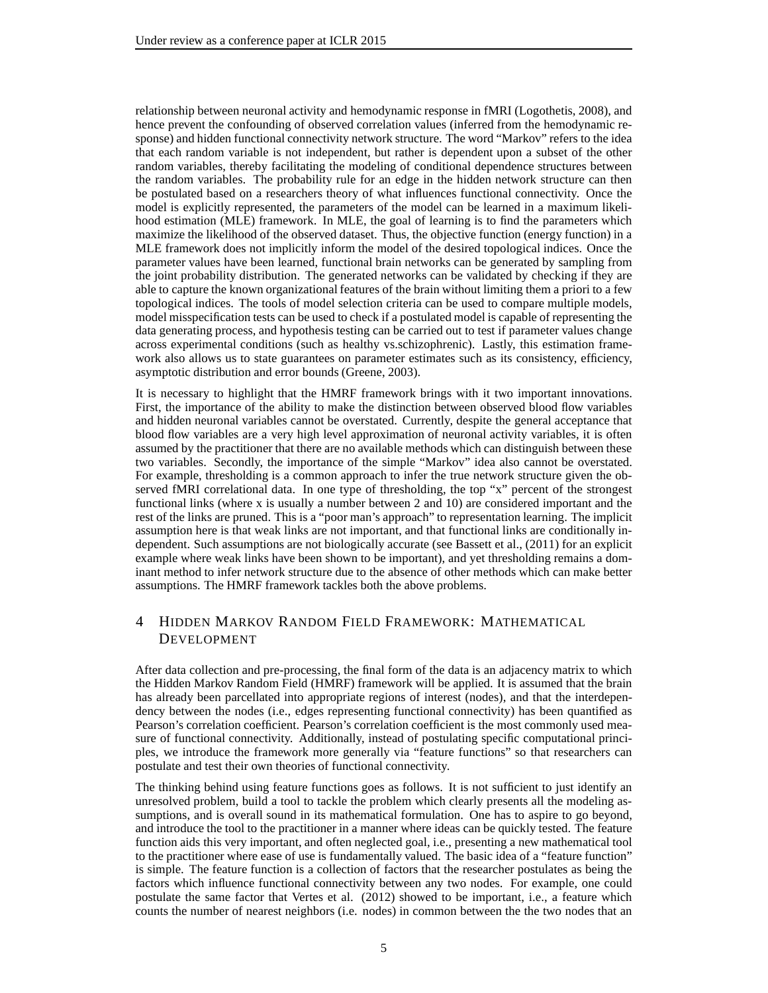relationship between neuronal activity and hemodynamic response in fMRI (Logothetis, 2008), and hence prevent the confounding of observed correlation values (inferred from the hemodynamic response) and hidden functional connectivity network structure. The word "Markov" refers to the idea that each random variable is not independent, but rather is dependent upon a subset of the other random variables, thereby facilitating the modeling of conditional dependence structures between the random variables. The probability rule for an edge in the hidden network structure can then be postulated based on a researchers theory of what influences functional connectivity. Once the model is explicitly represented, the parameters of the model can be learned in a maximum likelihood estimation (MLE) framework. In MLE, the goal of learning is to find the parameters which maximize the likelihood of the observed dataset. Thus, the objective function (energy function) in a MLE framework does not implicitly inform the model of the desired topological indices. Once the parameter values have been learned, functional brain networks can be generated by sampling from the joint probability distribution. The generated networks can be validated by checking if they are able to capture the known organizational features of the brain without limiting them a priori to a few topological indices. The tools of model selection criteria can be used to compare multiple models, model misspecification tests can be used to check if a postulated model is capable of representing the data generating process, and hypothesis testing can be carried out to test if parameter values change across experimental conditions (such as healthy vs.schizophrenic). Lastly, this estimation framework also allows us to state guarantees on parameter estimates such as its consistency, efficiency, asymptotic distribution and error bounds (Greene, 2003).

It is necessary to highlight that the HMRF framework brings with it two important innovations. First, the importance of the ability to make the distinction between observed blood flow variables and hidden neuronal variables cannot be overstated. Currently, despite the general acceptance that blood flow variables are a very high level approximation of neuronal activity variables, it is often assumed by the practitioner that there are no available methods which can distinguish between these two variables. Secondly, the importance of the simple "Markov" idea also cannot be overstated. For example, thresholding is a common approach to infer the true network structure given the observed fMRI correlational data. In one type of thresholding, the top "x" percent of the strongest functional links (where x is usually a number between 2 and 10) are considered important and the rest of the links are pruned. This is a "poor man's approach" to representation learning. The implicit assumption here is that weak links are not important, and that functional links are conditionally independent. Such assumptions are not biologically accurate (see Bassett et al., (2011) for an explicit example where weak links have been shown to be important), and yet thresholding remains a dominant method to infer network structure due to the absence of other methods which can make better assumptions. The HMRF framework tackles both the above problems.

## 4 HIDDEN MARKOV RANDOM FIELD FRAMEWORK: MATHEMATICAL DEVELOPMENT

After data collection and pre-processing, the final form of the data is an adjacency matrix to which the Hidden Markov Random Field (HMRF) framework will be applied. It is assumed that the brain has already been parcellated into appropriate regions of interest (nodes), and that the interdependency between the nodes (i.e., edges representing functional connectivity) has been quantified as Pearson's correlation coefficient. Pearson's correlation coefficient is the most commonly used measure of functional connectivity. Additionally, instead of postulating specific computational principles, we introduce the framework more generally via "feature functions" so that researchers can postulate and test their own theories of functional connectivity.

The thinking behind using feature functions goes as follows. It is not sufficient to just identify an unresolved problem, build a tool to tackle the problem which clearly presents all the modeling assumptions, and is overall sound in its mathematical formulation. One has to aspire to go beyond, and introduce the tool to the practitioner in a manner where ideas can be quickly tested. The feature function aids this very important, and often neglected goal, i.e., presenting a new mathematical tool to the practitioner where ease of use is fundamentally valued. The basic idea of a "feature function" is simple. The feature function is a collection of factors that the researcher postulates as being the factors which influence functional connectivity between any two nodes. For example, one could postulate the same factor that Vertes et al. (2012) showed to be important, i.e., a feature which counts the number of nearest neighbors (i.e. nodes) in common between the the two nodes that an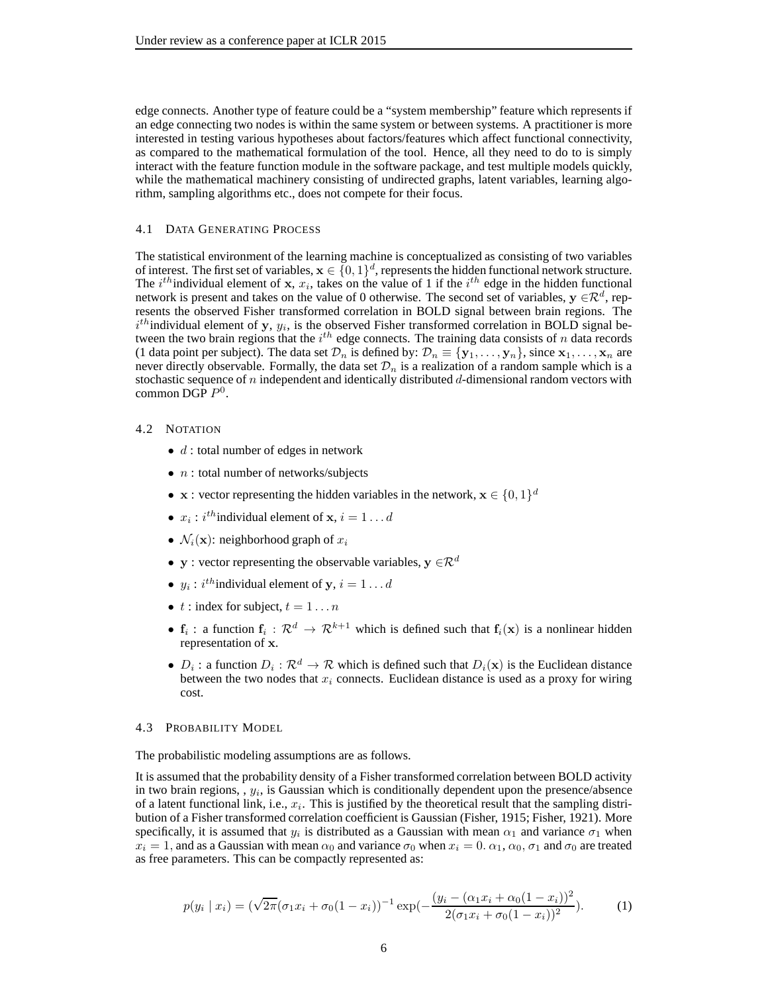edge connects. Another type of feature could be a "system membership" feature which represents if an edge connecting two nodes is within the same system or between systems. A practitioner is more interested in testing various hypotheses about factors/features which affect functional connectivity, as compared to the mathematical formulation of the tool. Hence, all they need to do to is simply interact with the feature function module in the software package, and test multiple models quickly, while the mathematical machinery consisting of undirected graphs, latent variables, learning algorithm, sampling algorithms etc., does not compete for their focus.

#### 4.1 DATA GENERATING PROCESS

The statistical environment of the learning machine is conceptualized as consisting of two variables of interest. The first set of variables,  $\mathbf{x} \in \{0,1\}^d$ , represents the hidden functional network structure. The *i*<sup>th</sup>individual element of x,  $x_i$ , takes on the value of 1 if the *i*<sup>th</sup> edge in the hidden functional network is present and takes on the value of 0 otherwise. The second set of variables,  $y \in \mathbb{R}^d$ , represents the observed Fisher transformed correlation in BOLD signal between brain regions. The  $i<sup>th</sup>$  individual element of y,  $y_i$ , is the observed Fisher transformed correlation in BOLD signal between the two brain regions that the  $i^{th}$  edge connects. The training data consists of n data records (1 data point per subject). The data set  $\mathcal{D}_n$  is defined by:  $\mathcal{D}_n \equiv \{y_1, \ldots, y_n\}$ , since  $x_1, \ldots, x_n$  are never directly observable. Formally, the data set  $\mathcal{D}_n$  is a realization of a random sample which is a stochastic sequence of n independent and identically distributed  $d$ -dimensional random vectors with common DGP  $P^0$ .

#### 4.2 NOTATION

- $d$ : total number of edges in network
- $n$ : total number of networks/subjects
- **x** : vector representing the hidden variables in the network,  $\mathbf{x} \in \{0, 1\}^d$
- $x_i$ :  $i^{th}$  individual element of  $x, i = 1...d$
- $\mathcal{N}_i(\mathbf{x})$ : neighborhood graph of  $x_i$
- y : vector representing the observable variables,  $y \in \mathbb{R}^d$
- $y_i$ :  $i^{th}$  individual element of  $y, i = 1...d$
- $t$  : index for subject,  $t = 1...n$
- $f_i$ : a function  $f_i: \mathbb{R}^d \to \mathbb{R}^{k+1}$  which is defined such that  $f_i(\mathbf{x})$  is a nonlinear hidden representation of x.
- $D_i$ : a function  $D_i: \mathcal{R}^d \to \mathcal{R}$  which is defined such that  $D_i(\mathbf{x})$  is the Euclidean distance between the two nodes that  $x_i$  connects. Euclidean distance is used as a proxy for wiring cost.

#### 4.3 PROBABILITY MODEL

The probabilistic modeling assumptions are as follows.

It is assumed that the probability density of a Fisher transformed correlation between BOLD activity in two brain regions, ,  $y_i$ , is Gaussian which is conditionally dependent upon the presence/absence of a latent functional link, i.e.,  $x_i$ . This is justified by the theoretical result that the sampling distribution of a Fisher transformed correlation coefficient is Gaussian (Fisher, 1915; Fisher, 1921). More specifically, it is assumed that  $y_i$  is distributed as a Gaussian with mean  $\alpha_1$  and variance  $\sigma_1$  when  $x_i = 1$ , and as a Gaussian with mean  $\alpha_0$  and variance  $\sigma_0$  when  $x_i = 0$ .  $\alpha_1, \alpha_0, \sigma_1$  and  $\sigma_0$  are treated as free parameters. This can be compactly represented as:

$$
p(y_i \mid x_i) = (\sqrt{2\pi}(\sigma_1 x_i + \sigma_0 (1 - x_i)))^{-1} \exp(-\frac{(y_i - (\alpha_1 x_i + \alpha_0 (1 - x_i))^2}{2(\sigma_1 x_i + \sigma_0 (1 - x_i))^2}).
$$
 (1)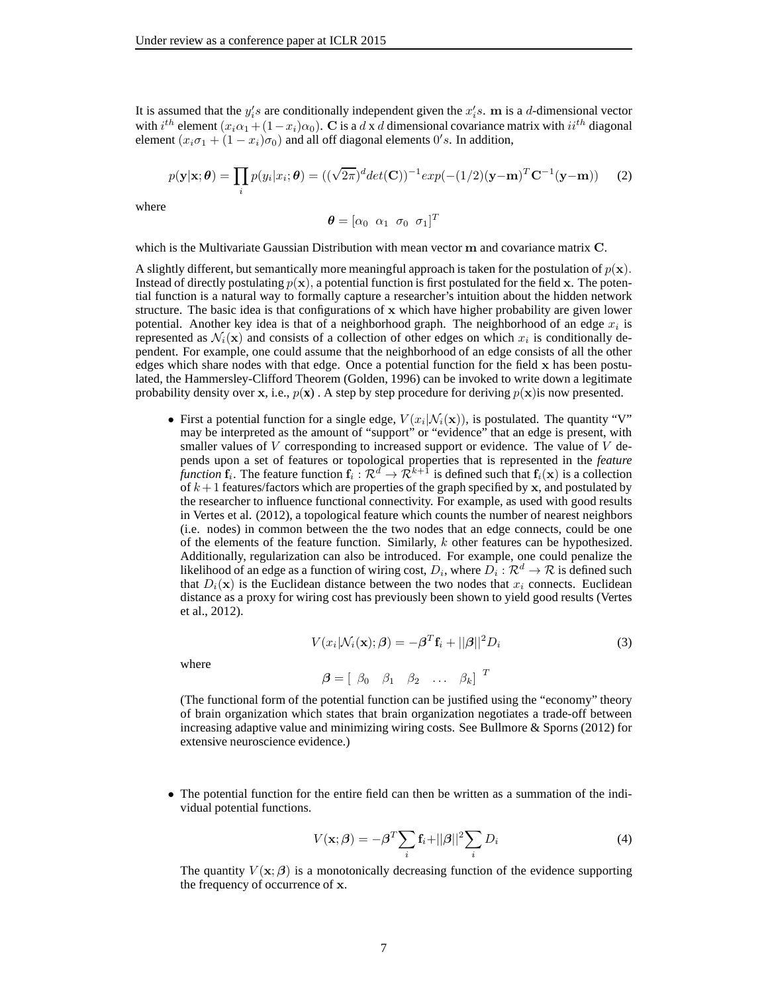It is assumed that the  $y_i$ 's are conditionally independent given the  $x_i$ 's. m is a d-dimensional vector with  $i^{th}$  element  $(x_i\alpha_1 + (1-x_i)\alpha_0)$ . C is a d x d dimensional covariance matrix with  $ii^{th}$  diagonal element  $(x_i \sigma_1 + (1 - x_i)\sigma_0)$  and all off diagonal elements  $0's$ . In addition,

$$
p(\mathbf{y}|\mathbf{x};\boldsymbol{\theta}) = \prod_i p(y_i|x_i;\boldsymbol{\theta}) = ((\sqrt{2\pi})^d det(\mathbf{C}))^{-1} exp(-(1/2)(\mathbf{y}-\mathbf{m})^T \mathbf{C}^{-1}(\mathbf{y}-\mathbf{m}))
$$
 (2)

where

$$
\boldsymbol{\theta} = [\alpha_0 \ \alpha_1 \ \sigma_0 \ \sigma_1]^T
$$

which is the Multivariate Gaussian Distribution with mean vector m and covariance matrix C.

A slightly different, but semantically more meaningful approach is taken for the postulation of  $p(x)$ . Instead of directly postulating  $p(x)$ , a potential function is first postulated for the field x. The potential function is a natural way to formally capture a researcher's intuition about the hidden network structure. The basic idea is that configurations of x which have higher probability are given lower potential. Another key idea is that of a neighborhood graph. The neighborhood of an edge  $x_i$  is represented as  $\mathcal{N}_i(\mathbf{x})$  and consists of a collection of other edges on which  $x_i$  is conditionally dependent. For example, one could assume that the neighborhood of an edge consists of all the other edges which share nodes with that edge. Once a potential function for the field x has been postulated, the Hammersley-Clifford Theorem (Golden, 1996) can be invoked to write down a legitimate probability density over x, i.e.,  $p(x)$ . A step by step procedure for deriving  $p(x)$  is now presented.

• First a potential function for a single edge,  $V(x_i | N_i(\mathbf{x}))$ , is postulated. The quantity "V" may be interpreted as the amount of "support" or "evidence" that an edge is present, with smaller values of  $V$  corresponding to increased support or evidence. The value of  $V$  depends upon a set of features or topological properties that is represented in the *feature function*  $f_i$ . The feature function  $f_i : \mathcal{R}^d \to \mathcal{R}^{k+1}$  is defined such that  $f_i(\mathbf{x})$  is a collection of  $k+1$  features/factors which are properties of the graph specified by x, and postulated by the researcher to influence functional connectivity. For example, as used with good results in Vertes et al. (2012), a topological feature which counts the number of nearest neighbors (i.e. nodes) in common between the the two nodes that an edge connects, could be one of the elements of the feature function. Similarly,  $k$  other features can be hypothesized. Additionally, regularization can also be introduced. For example, one could penalize the likelihood of an edge as a function of wiring cost,  $D_i$ , where  $D_i : \mathcal{R}^d \to \mathcal{R}$  is defined such that  $D_i(\mathbf{x})$  is the Euclidean distance between the two nodes that  $x_i$  connects. Euclidean distance as a proxy for wiring cost has previously been shown to yield good results (Vertes et al., 2012).

$$
V(x_i|\mathcal{N}_i(\mathbf{x});\boldsymbol{\beta}) = -\boldsymbol{\beta}^T \mathbf{f}_i + ||\boldsymbol{\beta}||^2 D_i
$$
\n(3)

where

$$
\boldsymbol{\beta} = \left[ \begin{array}{cccc} \beta_0 & \beta_1 & \beta_2 & \dots & \beta_k \end{array} \right]^{\mathrm{T}}
$$

(The functional form of the potential function can be justified using the "economy" theory of brain organization which states that brain organization negotiates a trade-off between increasing adaptive value and minimizing wiring costs. See Bullmore & Sporns (2012) for extensive neuroscience evidence.)

• The potential function for the entire field can then be written as a summation of the individual potential functions.

$$
V(\mathbf{x};\boldsymbol{\beta}) = -\boldsymbol{\beta}^T \sum_{i} \mathbf{f}_i + ||\boldsymbol{\beta}||^2 \sum_{i} D_i
$$
 (4)

The quantity  $V(\mathbf{x}; \beta)$  is a monotonically decreasing function of the evidence supporting the frequency of occurrence of x.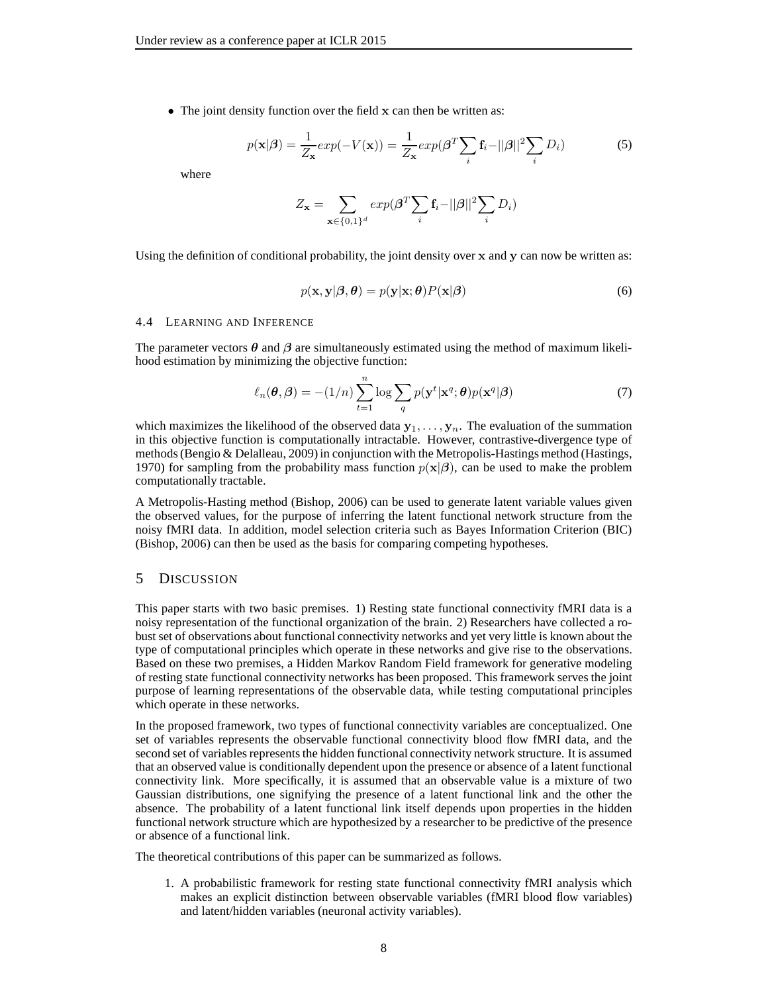• The joint density function over the field x can then be written as:

$$
p(\mathbf{x}|\boldsymbol{\beta}) = \frac{1}{Z_{\mathbf{x}}} exp(-V(\mathbf{x})) = \frac{1}{Z_{\mathbf{x}}} exp(\boldsymbol{\beta}^T \sum_{i} \mathbf{f}_i - ||\boldsymbol{\beta}||^2 \sum_{i} D_i)
$$
(5)

where

$$
Z_{\mathbf{x}} = \sum_{\mathbf{x} \in \{0,1\}^d} exp(\boldsymbol{\beta}^T \sum_i \mathbf{f}_i - ||\boldsymbol{\beta}||^2 \sum_i D_i)
$$

Using the definition of conditional probability, the joint density over x and y can now be written as:

$$
p(\mathbf{x}, \mathbf{y}|\boldsymbol{\beta}, \boldsymbol{\theta}) = p(\mathbf{y}|\mathbf{x}; \boldsymbol{\theta}) P(\mathbf{x}|\boldsymbol{\beta})
$$
\n(6)

#### 4.4 LEARNING AND INFERENCE

The parameter vectors  $\theta$  and  $\beta$  are simultaneously estimated using the method of maximum likelihood estimation by minimizing the objective function:

$$
\ell_n(\boldsymbol{\theta}, \boldsymbol{\beta}) = -(1/n) \sum_{t=1}^n \log \sum_q p(\mathbf{y}^t | \mathbf{x}^q; \boldsymbol{\theta}) p(\mathbf{x}^q | \boldsymbol{\beta})
$$
(7)

which maximizes the likelihood of the observed data  $y_1, \ldots, y_n$ . The evaluation of the summation in this objective function is computationally intractable. However, contrastive-divergence type of methods (Bengio & Delalleau, 2009) in conjunction with the Metropolis-Hastings method (Hastings, 1970) for sampling from the probability mass function  $p(x|\beta)$ , can be used to make the problem computationally tractable.

A Metropolis-Hasting method (Bishop, 2006) can be used to generate latent variable values given the observed values, for the purpose of inferring the latent functional network structure from the noisy fMRI data. In addition, model selection criteria such as Bayes Information Criterion (BIC) (Bishop, 2006) can then be used as the basis for comparing competing hypotheses.

## 5 DISCUSSION

This paper starts with two basic premises. 1) Resting state functional connectivity fMRI data is a noisy representation of the functional organization of the brain. 2) Researchers have collected a robust set of observations about functional connectivity networks and yet very little is known about the type of computational principles which operate in these networks and give rise to the observations. Based on these two premises, a Hidden Markov Random Field framework for generative modeling of resting state functional connectivity networks has been proposed. This framework serves the joint purpose of learning representations of the observable data, while testing computational principles which operate in these networks.

In the proposed framework, two types of functional connectivity variables are conceptualized. One set of variables represents the observable functional connectivity blood flow fMRI data, and the second set of variables represents the hidden functional connectivity network structure. It is assumed that an observed value is conditionally dependent upon the presence or absence of a latent functional connectivity link. More specifically, it is assumed that an observable value is a mixture of two Gaussian distributions, one signifying the presence of a latent functional link and the other the absence. The probability of a latent functional link itself depends upon properties in the hidden functional network structure which are hypothesized by a researcher to be predictive of the presence or absence of a functional link.

The theoretical contributions of this paper can be summarized as follows.

1. A probabilistic framework for resting state functional connectivity fMRI analysis which makes an explicit distinction between observable variables (fMRI blood flow variables) and latent/hidden variables (neuronal activity variables).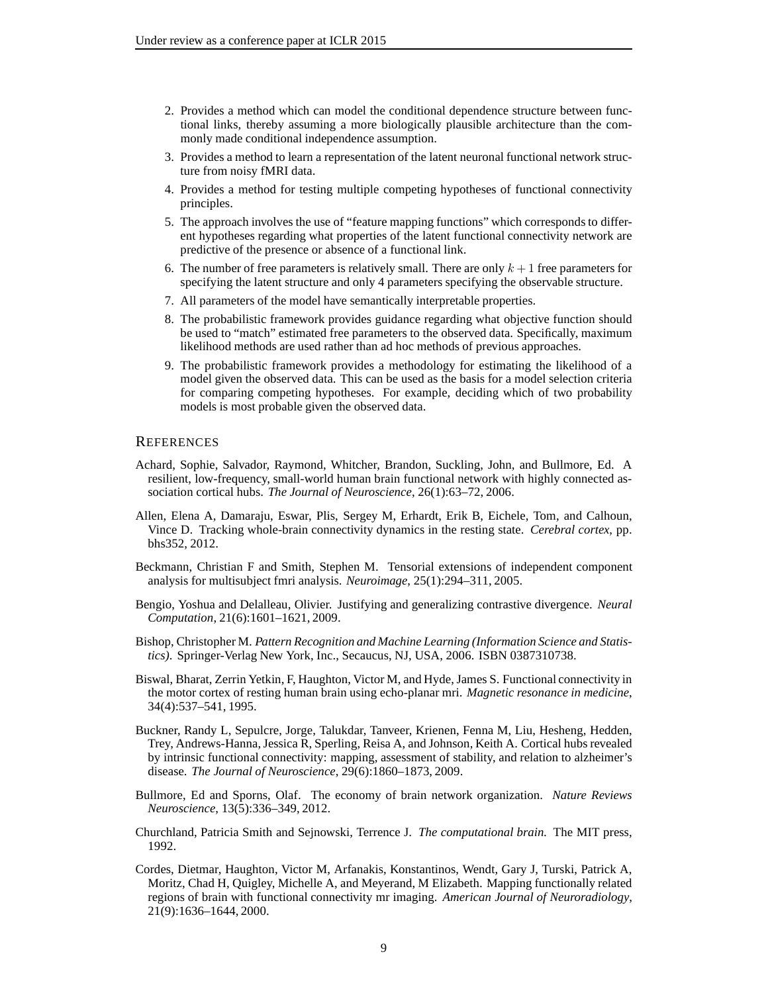- 2. Provides a method which can model the conditional dependence structure between functional links, thereby assuming a more biologically plausible architecture than the commonly made conditional independence assumption.
- 3. Provides a method to learn a representation of the latent neuronal functional network structure from noisy fMRI data.
- 4. Provides a method for testing multiple competing hypotheses of functional connectivity principles.
- 5. The approach involves the use of "feature mapping functions" which corresponds to different hypotheses regarding what properties of the latent functional connectivity network are predictive of the presence or absence of a functional link.
- 6. The number of free parameters is relatively small. There are only  $k + 1$  free parameters for specifying the latent structure and only 4 parameters specifying the observable structure.
- 7. All parameters of the model have semantically interpretable properties.
- 8. The probabilistic framework provides guidance regarding what objective function should be used to "match" estimated free parameters to the observed data. Specifically, maximum likelihood methods are used rather than ad hoc methods of previous approaches.
- 9. The probabilistic framework provides a methodology for estimating the likelihood of a model given the observed data. This can be used as the basis for a model selection criteria for comparing competing hypotheses. For example, deciding which of two probability models is most probable given the observed data.

## **REFERENCES**

- Achard, Sophie, Salvador, Raymond, Whitcher, Brandon, Suckling, John, and Bullmore, Ed. A resilient, low-frequency, small-world human brain functional network with highly connected association cortical hubs. *The Journal of Neuroscience*, 26(1):63–72, 2006.
- Allen, Elena A, Damaraju, Eswar, Plis, Sergey M, Erhardt, Erik B, Eichele, Tom, and Calhoun, Vince D. Tracking whole-brain connectivity dynamics in the resting state. *Cerebral cortex*, pp. bhs352, 2012.
- Beckmann, Christian F and Smith, Stephen M. Tensorial extensions of independent component analysis for multisubject fmri analysis. *Neuroimage*, 25(1):294–311, 2005.
- Bengio, Yoshua and Delalleau, Olivier. Justifying and generalizing contrastive divergence. *Neural Computation*, 21(6):1601–1621, 2009.
- Bishop, Christopher M. *Pattern Recognition and Machine Learning (Information Science and Statistics)*. Springer-Verlag New York, Inc., Secaucus, NJ, USA, 2006. ISBN 0387310738.
- Biswal, Bharat, Zerrin Yetkin, F, Haughton, Victor M, and Hyde, James S. Functional connectivity in the motor cortex of resting human brain using echo-planar mri. *Magnetic resonance in medicine*, 34(4):537–541, 1995.
- Buckner, Randy L, Sepulcre, Jorge, Talukdar, Tanveer, Krienen, Fenna M, Liu, Hesheng, Hedden, Trey, Andrews-Hanna, Jessica R, Sperling, Reisa A, and Johnson, Keith A. Cortical hubs revealed by intrinsic functional connectivity: mapping, assessment of stability, and relation to alzheimer's disease. *The Journal of Neuroscience*, 29(6):1860–1873, 2009.
- Bullmore, Ed and Sporns, Olaf. The economy of brain network organization. *Nature Reviews Neuroscience*, 13(5):336–349, 2012.
- Churchland, Patricia Smith and Sejnowski, Terrence J. *The computational brain.* The MIT press, 1992.
- Cordes, Dietmar, Haughton, Victor M, Arfanakis, Konstantinos, Wendt, Gary J, Turski, Patrick A, Moritz, Chad H, Quigley, Michelle A, and Meyerand, M Elizabeth. Mapping functionally related regions of brain with functional connectivity mr imaging. *American Journal of Neuroradiology*, 21(9):1636–1644, 2000.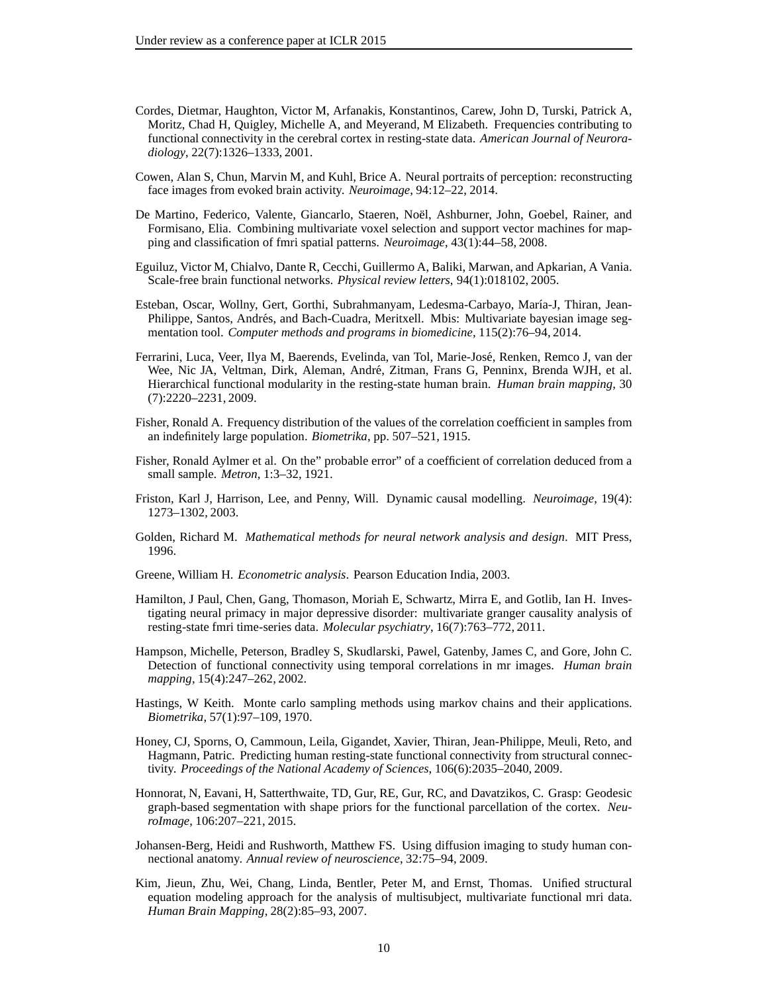- Cordes, Dietmar, Haughton, Victor M, Arfanakis, Konstantinos, Carew, John D, Turski, Patrick A, Moritz, Chad H, Quigley, Michelle A, and Meyerand, M Elizabeth. Frequencies contributing to functional connectivity in the cerebral cortex in resting-state data. *American Journal of Neuroradiology*, 22(7):1326–1333, 2001.
- Cowen, Alan S, Chun, Marvin M, and Kuhl, Brice A. Neural portraits of perception: reconstructing face images from evoked brain activity. *Neuroimage*, 94:12–22, 2014.
- De Martino, Federico, Valente, Giancarlo, Staeren, Noël, Ashburner, John, Goebel, Rainer, and Formisano, Elia. Combining multivariate voxel selection and support vector machines for mapping and classification of fmri spatial patterns. *Neuroimage*, 43(1):44–58, 2008.
- Eguiluz, Victor M, Chialvo, Dante R, Cecchi, Guillermo A, Baliki, Marwan, and Apkarian, A Vania. Scale-free brain functional networks. *Physical review letters*, 94(1):018102, 2005.
- Esteban, Oscar, Wollny, Gert, Gorthi, Subrahmanyam, Ledesma-Carbayo, María-J, Thiran, Jean-Philippe, Santos, Andrés, and Bach-Cuadra, Meritxell. Mbis: Multivariate bayesian image segmentation tool. *Computer methods and programs in biomedicine*, 115(2):76–94, 2014.
- Ferrarini, Luca, Veer, Ilya M, Baerends, Evelinda, van Tol, Marie-José, Renken, Remco J, van der Wee, Nic JA, Veltman, Dirk, Aleman, André, Zitman, Frans G, Penninx, Brenda WJH, et al. Hierarchical functional modularity in the resting-state human brain. *Human brain mapping*, 30 (7):2220–2231, 2009.
- Fisher, Ronald A. Frequency distribution of the values of the correlation coefficient in samples from an indefinitely large population. *Biometrika*, pp. 507–521, 1915.
- Fisher, Ronald Aylmer et al. On the" probable error" of a coefficient of correlation deduced from a small sample. *Metron*, 1:3–32, 1921.
- Friston, Karl J, Harrison, Lee, and Penny, Will. Dynamic causal modelling. *Neuroimage*, 19(4): 1273–1302, 2003.
- Golden, Richard M. *Mathematical methods for neural network analysis and design*. MIT Press, 1996.
- Greene, William H. *Econometric analysis*. Pearson Education India, 2003.
- Hamilton, J Paul, Chen, Gang, Thomason, Moriah E, Schwartz, Mirra E, and Gotlib, Ian H. Investigating neural primacy in major depressive disorder: multivariate granger causality analysis of resting-state fmri time-series data. *Molecular psychiatry*, 16(7):763–772, 2011.
- Hampson, Michelle, Peterson, Bradley S, Skudlarski, Pawel, Gatenby, James C, and Gore, John C. Detection of functional connectivity using temporal correlations in mr images. *Human brain mapping*, 15(4):247–262, 2002.
- Hastings, W Keith. Monte carlo sampling methods using markov chains and their applications. *Biometrika*, 57(1):97–109, 1970.
- Honey, CJ, Sporns, O, Cammoun, Leila, Gigandet, Xavier, Thiran, Jean-Philippe, Meuli, Reto, and Hagmann, Patric. Predicting human resting-state functional connectivity from structural connectivity. *Proceedings of the National Academy of Sciences*, 106(6):2035–2040, 2009.
- Honnorat, N, Eavani, H, Satterthwaite, TD, Gur, RE, Gur, RC, and Davatzikos, C. Grasp: Geodesic graph-based segmentation with shape priors for the functional parcellation of the cortex. *NeuroImage*, 106:207–221, 2015.
- Johansen-Berg, Heidi and Rushworth, Matthew FS. Using diffusion imaging to study human connectional anatomy. *Annual review of neuroscience*, 32:75–94, 2009.
- Kim, Jieun, Zhu, Wei, Chang, Linda, Bentler, Peter M, and Ernst, Thomas. Unified structural equation modeling approach for the analysis of multisubject, multivariate functional mri data. *Human Brain Mapping*, 28(2):85–93, 2007.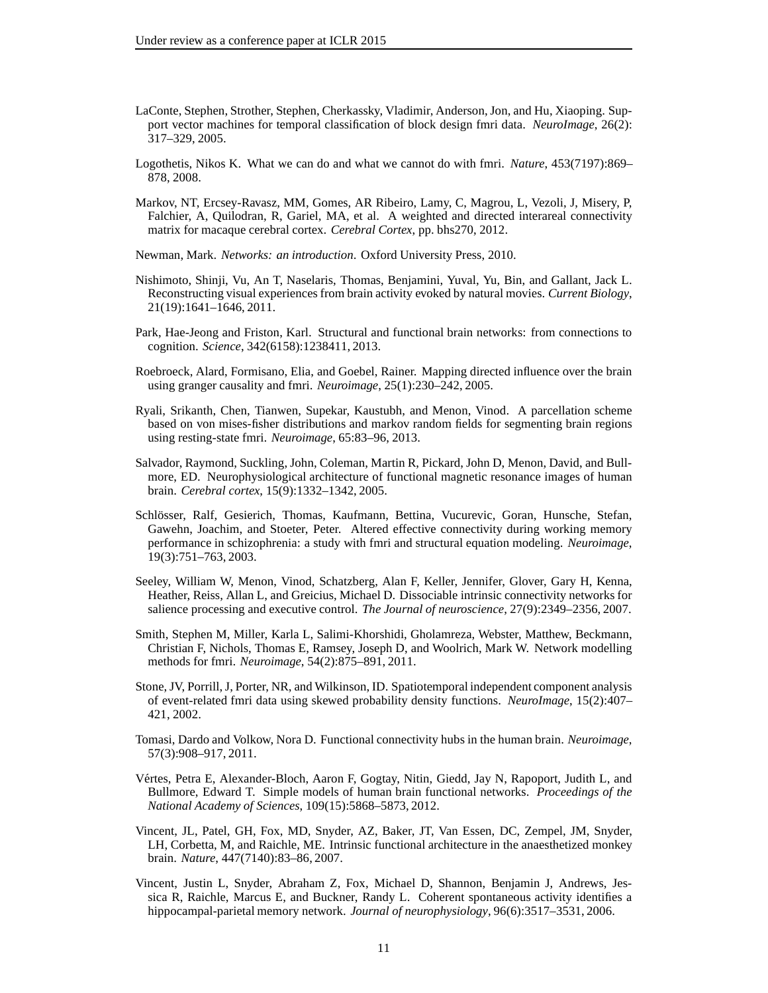- LaConte, Stephen, Strother, Stephen, Cherkassky, Vladimir, Anderson, Jon, and Hu, Xiaoping. Support vector machines for temporal classification of block design fmri data. *NeuroImage*, 26(2): 317–329, 2005.
- Logothetis, Nikos K. What we can do and what we cannot do with fmri. *Nature*, 453(7197):869– 878, 2008.
- Markov, NT, Ercsey-Ravasz, MM, Gomes, AR Ribeiro, Lamy, C, Magrou, L, Vezoli, J, Misery, P, Falchier, A, Quilodran, R, Gariel, MA, et al. A weighted and directed interareal connectivity matrix for macaque cerebral cortex. *Cerebral Cortex*, pp. bhs270, 2012.
- Newman, Mark. *Networks: an introduction*. Oxford University Press, 2010.
- Nishimoto, Shinji, Vu, An T, Naselaris, Thomas, Benjamini, Yuval, Yu, Bin, and Gallant, Jack L. Reconstructing visual experiences from brain activity evoked by natural movies. *Current Biology*, 21(19):1641–1646, 2011.
- Park, Hae-Jeong and Friston, Karl. Structural and functional brain networks: from connections to cognition. *Science*, 342(6158):1238411, 2013.
- Roebroeck, Alard, Formisano, Elia, and Goebel, Rainer. Mapping directed influence over the brain using granger causality and fmri. *Neuroimage*, 25(1):230–242, 2005.
- Ryali, Srikanth, Chen, Tianwen, Supekar, Kaustubh, and Menon, Vinod. A parcellation scheme based on von mises-fisher distributions and markov random fields for segmenting brain regions using resting-state fmri. *Neuroimage*, 65:83–96, 2013.
- Salvador, Raymond, Suckling, John, Coleman, Martin R, Pickard, John D, Menon, David, and Bullmore, ED. Neurophysiological architecture of functional magnetic resonance images of human brain. *Cerebral cortex*, 15(9):1332–1342, 2005.
- Schlösser, Ralf, Gesierich, Thomas, Kaufmann, Bettina, Vucurevic, Goran, Hunsche, Stefan, Gawehn, Joachim, and Stoeter, Peter. Altered effective connectivity during working memory performance in schizophrenia: a study with fmri and structural equation modeling. *Neuroimage*, 19(3):751–763, 2003.
- Seeley, William W, Menon, Vinod, Schatzberg, Alan F, Keller, Jennifer, Glover, Gary H, Kenna, Heather, Reiss, Allan L, and Greicius, Michael D. Dissociable intrinsic connectivity networks for salience processing and executive control. *The Journal of neuroscience*, 27(9):2349–2356, 2007.
- Smith, Stephen M, Miller, Karla L, Salimi-Khorshidi, Gholamreza, Webster, Matthew, Beckmann, Christian F, Nichols, Thomas E, Ramsey, Joseph D, and Woolrich, Mark W. Network modelling methods for fmri. *Neuroimage*, 54(2):875–891, 2011.
- Stone, JV, Porrill, J, Porter, NR, and Wilkinson, ID. Spatiotemporal independent component analysis of event-related fmri data using skewed probability density functions. *NeuroImage*, 15(2):407– 421, 2002.
- Tomasi, Dardo and Volkow, Nora D. Functional connectivity hubs in the human brain. *Neuroimage*, 57(3):908–917, 2011.
- Vértes, Petra E, Alexander-Bloch, Aaron F, Gogtay, Nitin, Giedd, Jay N, Rapoport, Judith L, and Bullmore, Edward T. Simple models of human brain functional networks. *Proceedings of the National Academy of Sciences*, 109(15):5868–5873, 2012.
- Vincent, JL, Patel, GH, Fox, MD, Snyder, AZ, Baker, JT, Van Essen, DC, Zempel, JM, Snyder, LH, Corbetta, M, and Raichle, ME. Intrinsic functional architecture in the anaesthetized monkey brain. *Nature*, 447(7140):83–86, 2007.
- Vincent, Justin L, Snyder, Abraham Z, Fox, Michael D, Shannon, Benjamin J, Andrews, Jessica R, Raichle, Marcus E, and Buckner, Randy L. Coherent spontaneous activity identifies a hippocampal-parietal memory network. *Journal of neurophysiology*, 96(6):3517–3531, 2006.